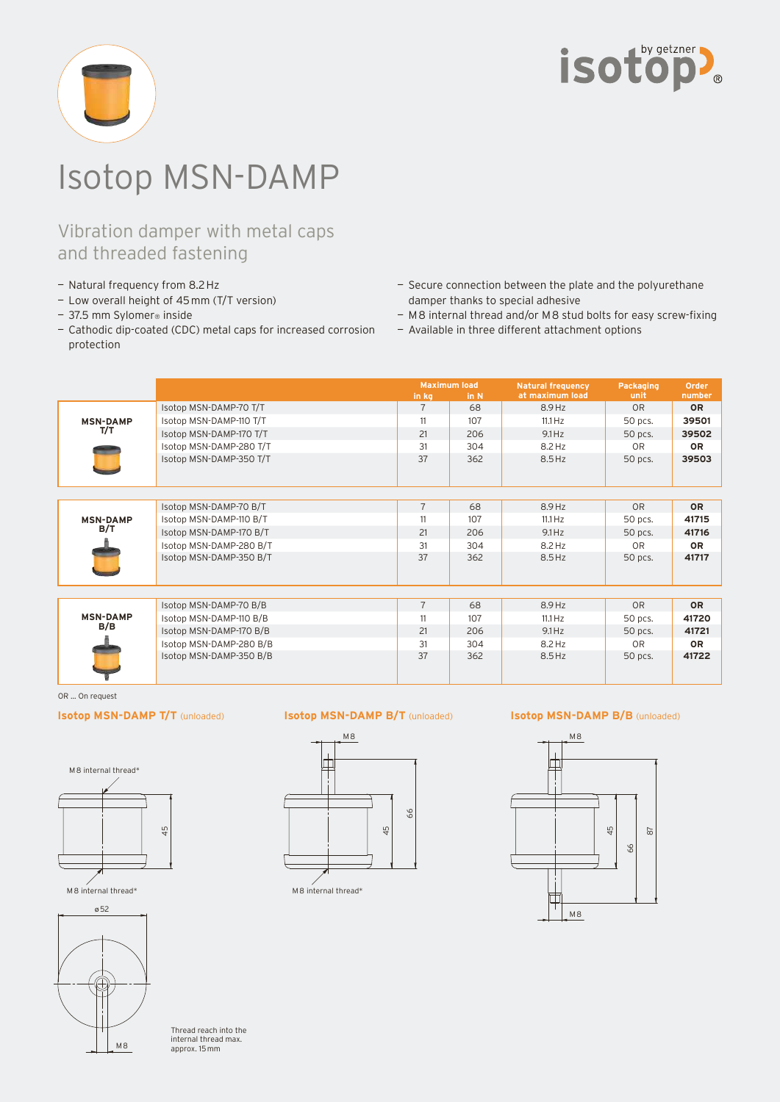

# Isotop MSN-DAMP

## Vibration damper with metal caps and threaded fastening

- Natural frequency from 8.2 Hz
- Low overall height of 45 mm (T/T version)
- 37.5 mm Sylomer<sup>®</sup> inside
- Cathodic dip-coated (CDC) metal caps for increased corrosion protection
- Secure connection between the plate and the polyurethane damper thanks to special adhesive
- M 8 internal thread and/or M 8 stud bolts for easy screw-fixing
- Available in three different attachment options

|                        |                         | <b>Maximum load</b> |      | <b>Natural frequency</b> | Packaging      | Order     |
|------------------------|-------------------------|---------------------|------|--------------------------|----------------|-----------|
|                        |                         | in kg               | in N | at maximum load          | unit           | number    |
| <b>MSN-DAMP</b><br>T/T | Isotop MSN-DAMP-70 T/T  | $\overline{7}$      | 68   | 8.9Hz                    | 0 <sub>R</sub> | <b>OR</b> |
|                        | Isotop MSN-DAMP-110 T/T | 11                  | 107  | $11.1\,\mathrm{Hz}$      | 50 pcs.        | 39501     |
|                        | Isotop MSN-DAMP-170 T/T | 21                  | 206  | $9.1$ Hz                 | 50 pcs.        | 39502     |
|                        | Isotop MSN-DAMP-280 T/T | 31                  | 304  | 8.2 Hz                   | 0 <sub>R</sub> | <b>OR</b> |
|                        | Isotop MSN-DAMP-350 T/T | 37                  | 362  | 8.5 Hz                   | 50 pcs.        | 39503     |
|                        |                         |                     |      |                          |                |           |
| <b>MSN-DAMP</b><br>B/T | Isotop MSN-DAMP-70 B/T  | $\overline{7}$      | 68   | 8.9 Hz                   | <b>OR</b>      | <b>OR</b> |
|                        | Isotop MSN-DAMP-110 B/T | 11                  | 107  | $11.1\,\mathrm{Hz}$      | 50 pcs.        | 41715     |
|                        | Isotop MSN-DAMP-170 B/T | 21                  | 206  | 9.1 Hz                   | 50 pcs.        | 41716     |
|                        | Isotop MSN-DAMP-280 B/T | 31                  | 304  | 8.2 Hz                   | <b>OR</b>      | <b>OR</b> |
|                        | Isotop MSN-DAMP-350 B/T | 37                  | 362  | $8.5$ Hz                 | 50 pcs.        | 41717     |
|                        |                         |                     |      |                          |                |           |
|                        | Isotop MSN-DAMP-70 B/B  | $\overline{7}$      | 68   | 8.9 Hz                   | <b>OR</b>      | <b>OR</b> |
| <b>MSN-DAMP</b><br>B/B | Isotop MSN-DAMP-110 B/B | 11                  | 107  | $11.1\,\mathrm{Hz}$      | 50 pcs.        | 41720     |
|                        | Isotop MSN-DAMP-170 B/B | 21                  | 206  | 9.1 Hz                   | 50 pcs.        | 41721     |
|                        | Isotop MSN-DAMP-280 B/B | 31                  | 304  | 8.2 Hz                   | OR             | <b>OR</b> |
|                        | Isotop MSN-DAMP-350 B/B | 37                  | 362  | 8.5 Hz                   | 50 pcs.        | 41722     |

OR ... On request

## **Isotop MSN-DAMP T/T** (unloaded)





Thread reach into the internal thread max. approx. 15 mm

## **Isotop MSN-DAMP B/T** (unloaded) **Isotop MSN-DAMP B/B** (unloaded)